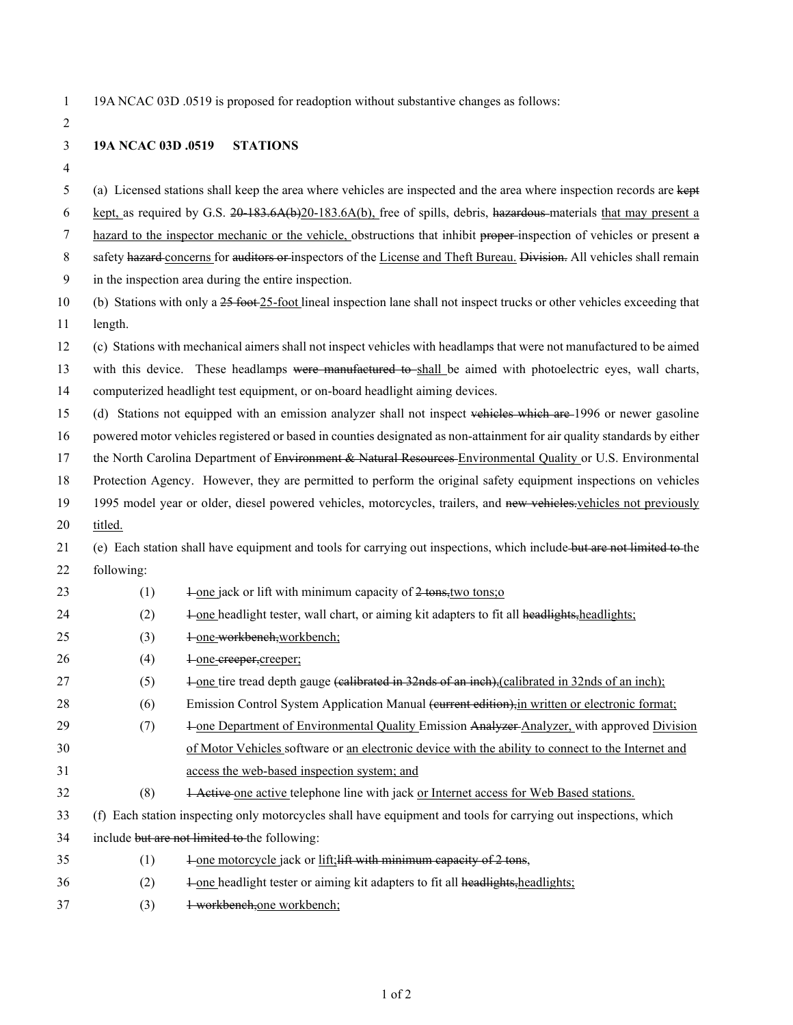1 19A NCAC 03D .0519 is proposed for readoption without substantive changes as follows:

2

3 **19A NCAC 03D .0519 STATIONS**

4

5 (a) Licensed stations shall keep the area where vehicles are inspected and the area where inspection records are kept

6 kept, as required by G.S. 20-183.6A(b)20-183.6A(b), free of spills, debris, hazardous materials that may present a

7 hazard to the inspector mechanic or the vehicle, obstructions that inhibit proper-inspection of vehicles or present a

8 safety hazard concerns for auditors or inspectors of the License and Theft Bureau. Division. All vehicles shall remain

9 in the inspection area during the entire inspection.

10 (b) Stations with only a 25 foot 25-foot lineal inspection lane shall not inspect trucks or other vehicles exceeding that 11 length.

12 (c) Stations with mechanical aimers shall not inspect vehicles with headlamps that were not manufactured to be aimed

13 with this device. These headlamps were manufactured to shall be aimed with photoelectric eyes, wall charts,

14 computerized headlight test equipment, or on-board headlight aiming devices.

15 (d) Stations not equipped with an emission analyzer shall not inspect vehicles which are 1996 or newer gasoline

16 powered motor vehicles registered or based in counties designated as non-attainment for air quality standards by either

17 the North Carolina Department of Environment & Natural Resources-Environmental Quality or U.S. Environmental

18 Protection Agency. However, they are permitted to perform the original safety equipment inspections on vehicles

19 1995 model year or older, diesel powered vehicles, motorcycles, trailers, and new vehicles vehicles not previously

20 titled.

21 (e) Each station shall have equipment and tools for carrying out inspections, which include but are not limited to the 22 following:

- 23 (1)  $\frac{1}{2} \cdot \frac{1}{2}$   $\frac{1}{2} \cdot \frac{1}{2}$   $\frac{1}{2} \cdot \frac{1}{2} \cdot \frac{1}{2}$   $\frac{1}{2} \cdot \frac{1}{2} \cdot \frac{1}{2} \cdot \frac{1}{2} \cdot \frac{1}{2} \cdot \frac{1}{2} \cdot \frac{1}{2} \cdot \frac{1}{2} \cdot \frac{1}{2} \cdot \frac{1}{2} \cdot \frac{1}{2} \cdot \frac{1}{2} \cdot \frac{1}{2} \cdot \frac{1}{2} \cdot \frac{1}{2} \cdot \frac{1}{2} \cdot \frac{$
- $24$  (2)  $\frac{1}{2}$  -one headlight tester, wall chart, or aiming kit adapters to fit all headlights;
- 25 (3) <del>1-one-workbench, workbench;</del>
- 26 (4)  $\frac{1}{2}$  one creeper, creeper;
- 27 (5)  $\frac{1}{2}$  one tire tread depth gauge (calibrated in 32nds of an inch), calibrated in 32nds of an inch);
- 28 (6) Emission Control System Application Manual (current edition), in written or electronic format;
- 29 (7)  $\frac{1}{2}$   $\frac{1}{2}$   $\frac{1}{2}$   $\frac{1}{2}$   $\frac{1}{2}$   $\frac{1}{2}$   $\frac{1}{2}$   $\frac{1}{2}$   $\frac{1}{2}$   $\frac{1}{2}$   $\frac{1}{2}$   $\frac{1}{2}$   $\frac{1}{2}$   $\frac{1}{2}$   $\frac{1}{2}$   $\frac{1}{2}$   $\frac{1}{2}$   $\frac{1}{2}$   $\frac{1}{2}$   $\frac{1}{2}$   $\frac{1}{2}$   $\frac{1$

30 of Motor Vehicles software or <u>an electronic device</u> with the ability to connect to the Internet and 31 access the web-based inspection system; and

- 32 (8) 1 Active one active telephone line with jack or Internet access for Web Based stations.
- 33 (f) Each station inspecting only motorcycles shall have equipment and tools for carrying out inspections, which
- 34 include but are not limited to the following:
- 35  $(1)$   $\frac{1 \text{ one motorcycle}}{2 \text{ lock}}$  or  $\frac{\text{lift}}{2 \text{ tit}}$  with minimum capacity of 2 tons,
- $36$   $(2)$   $\frac{1}{2}$  one headlight tester or aiming kit adapters to fit all headlights;
- 37 (3) 1 workbench,one workbench;